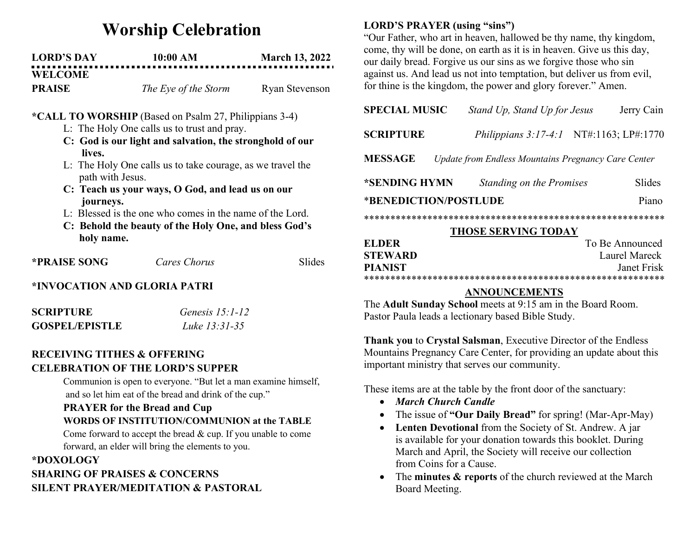# Worship Celebration

| <b>LORD'S DAY</b> | 10:00 AM             | <b>March 13, 2022</b> |
|-------------------|----------------------|-----------------------|
| <b>WELCOME</b>    |                      |                       |
| <b>PRAISE</b>     | The Eye of the Storm | <b>Ryan Stevenson</b> |

### \*CALL TO WORSHIP (Based on Psalm 27, Philippians 3-4)

- L: The Holy One calls us to trust and pray.
- C: God is our light and salvation, the stronghold of our lives.
- L: The Holy One calls us to take courage, as we travel the path with Jesus.
- C: Teach us your ways, O God, and lead us on our journeys.
- L: Blessed is the one who comes in the name of the Lord.
- C: Behold the beauty of the Holy One, and bless God's holy name.

| <b>*PRAISE SONG</b> | Cares Chorus | Slides |
|---------------------|--------------|--------|
|                     |              |        |

## \*INVOCATION AND GLORIA PATRI

| <b>SCRIPTURE</b>      | Genesis $15:1-12$ |
|-----------------------|-------------------|
| <b>GOSPEL/EPISTLE</b> | Luke 13:31-35     |

### RECEIVING TITHES & OFFERING CELEBRATION OF THE LORD'S SUPPER

Communion is open to everyone. "But let a man examine himself, and so let him eat of the bread and drink of the cup."

# PRAYER for the Bread and Cup

# WORDS OF INSTITUTION/COMMUNION at the TABLE

Come forward to accept the bread & cup. If you unable to come forward, an elder will bring the elements to you.

# \*DOXOLOGY SHARING OF PRAISES & CONCERNS SILENT PRAYER/MEDITATION & PASTORAL

## LORD'S PRAYER (using "sins")

"Our Father, who art in heaven, hallowed be thy name, thy kingdom, come, thy will be done, on earth as it is in heaven. Give us this day, our daily bread. Forgive us our sins as we forgive those who sin against us. And lead us not into temptation, but deliver us from evil, for thine is the kingdom, the power and glory forever." Amen.

| <b>SPECIAL MUSIC</b>                                                  | Stand Up, Stand Up for Jesus |  | Jerry Cain         |
|-----------------------------------------------------------------------|------------------------------|--|--------------------|
| <b>SCRIPTURE</b>                                                      | Philippians $3:17-4:1$       |  | NT#:1163; LP#:1770 |
| <b>MESSAGE</b><br>Update from Endless Mountains Pregnancy Care Center |                              |  |                    |
| *SENDING HYMN                                                         | Standing on the Promises     |  | <b>Slides</b>      |
| *BENEDICTION/POSTLUDE<br>Piano                                        |                              |  |                    |
|                                                                       |                              |  |                    |
| <b>THOSE SERVING TODAY</b>                                            |                              |  |                    |

| EL DER         | To Be Announced |
|----------------|-----------------|
| STEWARD.       | Laurel Mareck   |
| <b>PIANIST</b> | Janet Frisk     |
|                |                 |

## ANNOUNCEMENTS

The Adult Sunday School meets at 9:15 am in the Board Room. Pastor Paula leads a lectionary based Bible Study.

Thank you to Crystal Salsman, Executive Director of the Endless Mountains Pregnancy Care Center, for providing an update about this important ministry that serves our community.

These items are at the table by the front door of the sanctuary:

- March Church Candle
- The issue of "Our Daily Bread" for spring! (Mar-Apr-May)
- Lenten Devotional from the Society of St. Andrew. A jar is available for your donation towards this booklet. During March and April, the Society will receive our collection from Coins for a Cause.
- The minutes & reports of the church reviewed at the March Board Meeting.